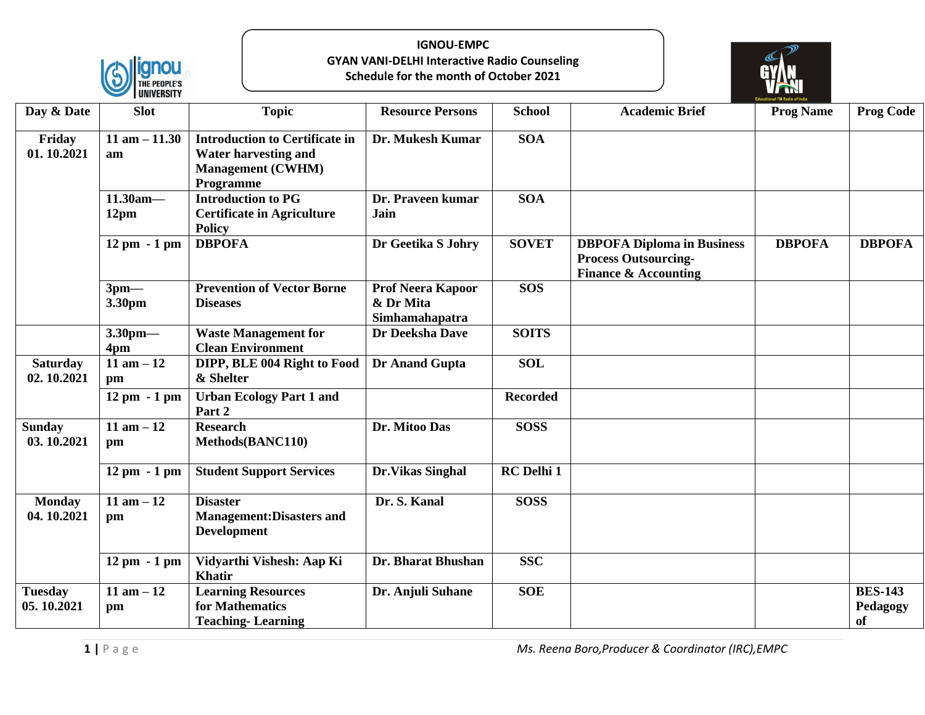



|                               | <b>UNIVERSITT</b>               |                                                                                                               |                                                         |                 |                                                                                                     | Educational FM Radio of India |                                  |
|-------------------------------|---------------------------------|---------------------------------------------------------------------------------------------------------------|---------------------------------------------------------|-----------------|-----------------------------------------------------------------------------------------------------|-------------------------------|----------------------------------|
| Day & Date                    | <b>Slot</b>                     | <b>Topic</b>                                                                                                  | <b>Resource Persons</b>                                 | <b>School</b>   | <b>Academic Brief</b>                                                                               | <b>Prog Name</b>              | <b>Prog Code</b>                 |
| Friday<br>01.10.2021          | $11$ am $-11.30$<br>am          | <b>Introduction to Certificate in</b><br><b>Water harvesting and</b><br><b>Management (CWHM)</b><br>Programme | Dr. Mukesh Kumar                                        | <b>SOA</b>      |                                                                                                     |                               |                                  |
|                               | $11.30$ am-<br>12 <sub>pm</sub> | <b>Introduction to PG</b><br><b>Certificate in Agriculture</b><br><b>Policy</b>                               | Dr. Praveen kumar<br>Jain                               | <b>SOA</b>      |                                                                                                     |                               |                                  |
|                               | $12 \text{ pm} - 1 \text{ pm}$  | <b>DBPOFA</b>                                                                                                 | Dr Geetika S Johry                                      | <b>SOVET</b>    | <b>DBPOFA Diploma in Business</b><br><b>Process Outsourcing-</b><br><b>Finance &amp; Accounting</b> | <b>DBPOFA</b>                 | <b>DBPOFA</b>                    |
|                               | $3pm-$<br>3.30pm                | <b>Prevention of Vector Borne</b><br><b>Diseases</b>                                                          | <b>Prof Neera Kapoor</b><br>& Dr Mita<br>Simhamahapatra | <b>SOS</b>      |                                                                                                     |                               |                                  |
|                               | $3.30$ pm-<br>4pm               | <b>Waste Management for</b><br><b>Clean Environment</b>                                                       | Dr Deeksha Dave                                         | <b>SOITS</b>    |                                                                                                     |                               |                                  |
| <b>Saturday</b><br>02.10.2021 | 11 am $-12$<br>pm               | DIPP, BLE 004 Right to Food<br>& Shelter                                                                      | Dr Anand Gupta                                          | <b>SOL</b>      |                                                                                                     |                               |                                  |
|                               | $12 \text{ pm} - 1 \text{ pm}$  | <b>Urban Ecology Part 1 and</b><br>Part 2                                                                     |                                                         | <b>Recorded</b> |                                                                                                     |                               |                                  |
| <b>Sunday</b><br>03.10.2021   | $11$ am $-12$<br>pm             | <b>Research</b><br>Methods(BANC110)                                                                           | Dr. Mitoo Das                                           | <b>SOSS</b>     |                                                                                                     |                               |                                  |
|                               | $12 \text{ pm} - 1 \text{ pm}$  | <b>Student Support Services</b>                                                                               | Dr. Vikas Singhal                                       | RC Delhi 1      |                                                                                                     |                               |                                  |
| <b>Monday</b><br>04.10.2021   | $11$ am $-12$<br>pm             | <b>Disaster</b><br><b>Management:Disasters and</b><br><b>Development</b>                                      | Dr. S. Kanal                                            | <b>SOSS</b>     |                                                                                                     |                               |                                  |
|                               | $12 \text{ pm} - 1 \text{ pm}$  | Vidyarthi Vishesh: Aap Ki<br><b>Khatir</b>                                                                    | Dr. Bharat Bhushan                                      | <b>SSC</b>      |                                                                                                     |                               |                                  |
| <b>Tuesday</b><br>05.10.2021  | $11$ am $-12$<br>pm             | <b>Learning Resources</b><br>for Mathematics<br><b>Teaching-Learning</b>                                      | Dr. Anjuli Suhane                                       | <b>SOE</b>      |                                                                                                     |                               | <b>BES-143</b><br>Pedagogy<br>of |

**1** |  $P a g e$  **Ms. Reena Boro, Producer & Coordinator (IRC), EMPC**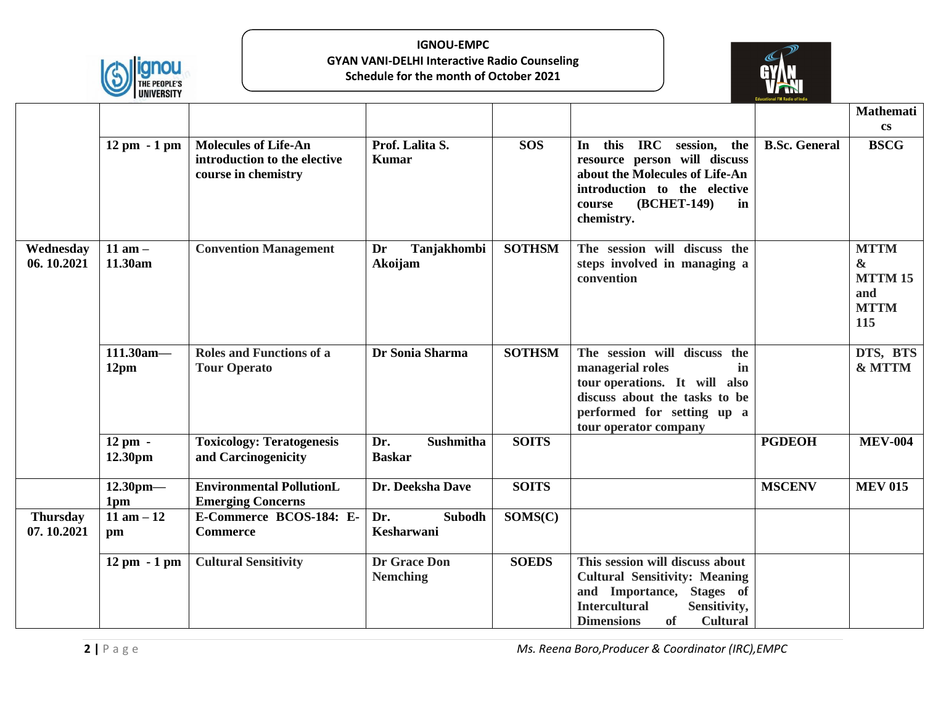



|                               | <b>I UNIVERSITT</b>            |                                                                                    |                                        |               |                                                                                                                                                                                            | Educational FM Radio of India |                                                                          |
|-------------------------------|--------------------------------|------------------------------------------------------------------------------------|----------------------------------------|---------------|--------------------------------------------------------------------------------------------------------------------------------------------------------------------------------------------|-------------------------------|--------------------------------------------------------------------------|
|                               |                                |                                                                                    |                                        |               |                                                                                                                                                                                            |                               | <b>Mathemati</b><br>$\mathbf{c}\mathbf{s}$                               |
|                               | $12 \text{ pm} - 1 \text{ pm}$ | <b>Molecules of Life-An</b><br>introduction to the elective<br>course in chemistry | Prof. Lalita S.<br><b>Kumar</b>        | <b>SOS</b>    | session, the<br><b>IRC</b><br>this<br>In<br>resource person will discuss<br>about the Molecules of Life-An<br>introduction to the elective<br>(BCHET-149)<br>in<br>course<br>chemistry.    | <b>B.Sc. General</b>          | <b>BSCG</b>                                                              |
| Wednesday<br>06.10.2021       | $11$ am $-$<br>11.30am         | <b>Convention Management</b>                                                       | Tanjakhombi<br>Dr<br>Akoijam           | <b>SOTHSM</b> | The session will discuss the<br>steps involved in managing a<br>convention                                                                                                                 |                               | <b>MTTM</b><br>$\boldsymbol{\&}$<br>MTTM 15<br>and<br><b>MTTM</b><br>115 |
|                               | 111.30am-<br>12pm              | <b>Roles and Functions of a</b><br><b>Tour Operato</b>                             | Dr Sonia Sharma                        | <b>SOTHSM</b> | The session will discuss the<br>managerial roles<br>in<br>tour operations. It will also<br>discuss about the tasks to be<br>performed for setting up a<br>tour operator company            |                               | DTS, BTS<br>& MTTM                                                       |
|                               | $12 \text{ pm}$ -<br>12.30pm   | <b>Toxicology: Teratogenesis</b><br>and Carcinogenicity                            | Sushmitha<br>Dr.<br><b>Baskar</b>      | <b>SOITS</b>  |                                                                                                                                                                                            | <b>PGDEOH</b>                 | <b>MEV-004</b>                                                           |
|                               | $12.30$ pm—<br>1 <sub>pm</sub> | <b>Environmental PollutionL</b><br><b>Emerging Concerns</b>                        | Dr. Deeksha Dave                       | <b>SOITS</b>  |                                                                                                                                                                                            | <b>MSCENV</b>                 | <b>MEV 015</b>                                                           |
| <b>Thursday</b><br>07.10.2021 | 11 am $-12$<br>pm              | E-Commerce BCOS-184: E-<br><b>Commerce</b>                                         | <b>Subodh</b><br>Dr.<br>Kesharwani     | SOMS(C)       |                                                                                                                                                                                            |                               |                                                                          |
|                               | $12 \text{ pm} - 1 \text{ pm}$ | <b>Cultural Sensitivity</b>                                                        | <b>Dr Grace Don</b><br><b>Nemching</b> | <b>SOEDS</b>  | This session will discuss about<br><b>Cultural Sensitivity: Meaning</b><br>and Importance, Stages of<br><b>Intercultural</b><br>Sensitivity,<br><b>Dimensions</b><br>of<br><b>Cultural</b> |                               |                                                                          |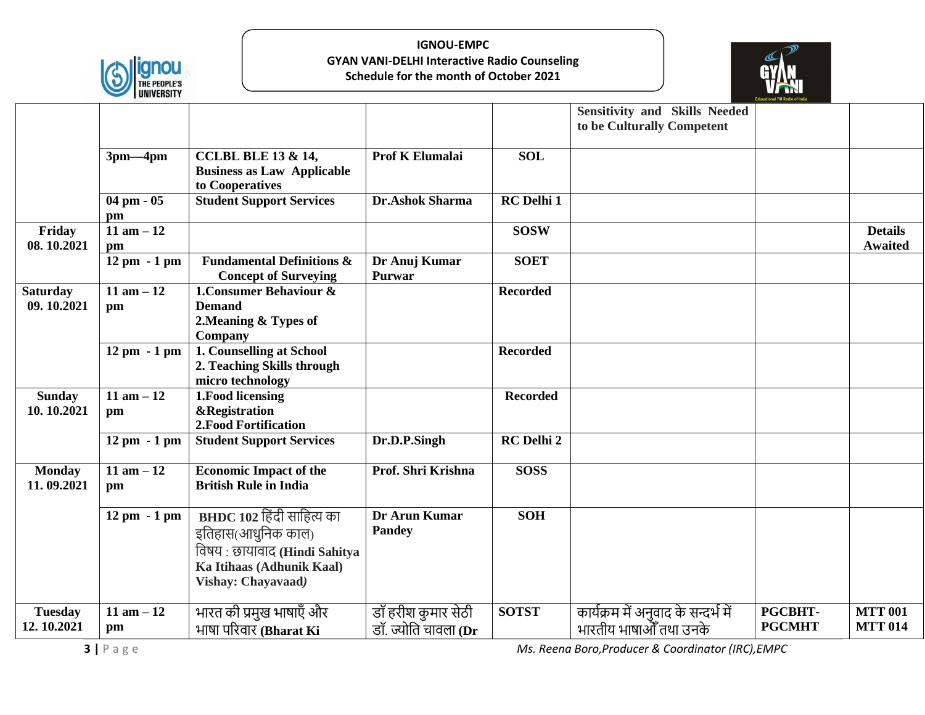



|                               | <b>UNIVERSITT</b>              |                                                                                                                                                   |                                            |                 |                                                                    | <b>Educational FM Radio of India</b> |                                  |
|-------------------------------|--------------------------------|---------------------------------------------------------------------------------------------------------------------------------------------------|--------------------------------------------|-----------------|--------------------------------------------------------------------|--------------------------------------|----------------------------------|
|                               |                                |                                                                                                                                                   |                                            |                 | <b>Sensitivity and Skills Needed</b><br>to be Culturally Competent |                                      |                                  |
|                               | $3pm-4pm$                      | <b>CCLBL BLE 13 &amp; 14,</b><br><b>Business as Law Applicable</b><br>to Cooperatives                                                             | <b>Prof K Elumalai</b>                     | <b>SOL</b>      |                                                                    |                                      |                                  |
|                               | $04 \text{ pm} - 05$<br>pm     | <b>Student Support Services</b>                                                                                                                   | Dr.Ashok Sharma                            | RC Delhi 1      |                                                                    |                                      |                                  |
| Friday<br>08.10.2021          | 11 am $-12$<br>pm              |                                                                                                                                                   |                                            | <b>SOSW</b>     |                                                                    |                                      | <b>Details</b><br><b>Awaited</b> |
|                               | $12 \text{ pm} - 1 \text{ pm}$ | <b>Fundamental Definitions &amp;</b><br><b>Concept of Surveying</b>                                                                               | Dr Anuj Kumar<br><b>Purwar</b>             | <b>SOET</b>     |                                                                    |                                      |                                  |
| <b>Saturday</b><br>09.10.2021 | 11 am $-12$<br>pm              | 1. Consumer Behaviour &<br><b>Demand</b><br>2. Meaning & Types of<br>Company                                                                      |                                            | <b>Recorded</b> |                                                                    |                                      |                                  |
|                               | $12 \text{ pm} - 1 \text{ pm}$ | 1. Counselling at School<br>2. Teaching Skills through<br>micro technology                                                                        |                                            | <b>Recorded</b> |                                                                    |                                      |                                  |
| <b>Sunday</b><br>10.10.2021   | $11$ am $-12$<br>pm            | 1.Food licensing<br><b>&amp;Registration</b><br><b>2. Food Fortification</b>                                                                      |                                            | <b>Recorded</b> |                                                                    |                                      |                                  |
|                               | $12 \text{ pm} - 1 \text{ pm}$ | <b>Student Support Services</b>                                                                                                                   | Dr.D.P.Singh                               | RC Delhi 2      |                                                                    |                                      |                                  |
| <b>Monday</b><br>11.09.2021   | 11 am $-12$<br>pm              | <b>Economic Impact of the</b><br><b>British Rule in India</b>                                                                                     | Prof. Shri Krishna                         | <b>SOSS</b>     |                                                                    |                                      |                                  |
|                               | $12 \text{ pm} - 1 \text{ pm}$ | <b>BHDC 102</b> हिंदी साहित्य का<br>इतिहास(आधुनिक काल)<br>विषय : छायावाद (Hindi Sahitya<br>Ka Itihaas (Adhunik Kaal)<br><b>Vishay: Chayavaad)</b> | Dr Arun Kumar<br><b>Pandey</b>             | <b>SOH</b>      |                                                                    |                                      |                                  |
| <b>Tuesday</b><br>12.10.2021  | 11 am $-12$<br>pm              | भारत की प्रमुख भाषाएँ और<br>भाषा परिवार (Bharat Ki                                                                                                | डॉ हरीश कुमार सेठी<br>डॉ. ज्योति चावला (Dr | <b>SOTST</b>    | कार्यक्रम में अनुवाद के सन्दर्भ में<br>भारतीय भाषाओँ तथा उनके      | <b>PGCBHT-</b><br><b>PGCMHT</b>      | <b>MTT 001</b><br><b>MTT 014</b> |

**3** |  $P a g e$  **Ms. Reena Boro, Producer & Coordinator (IRC), EMPC**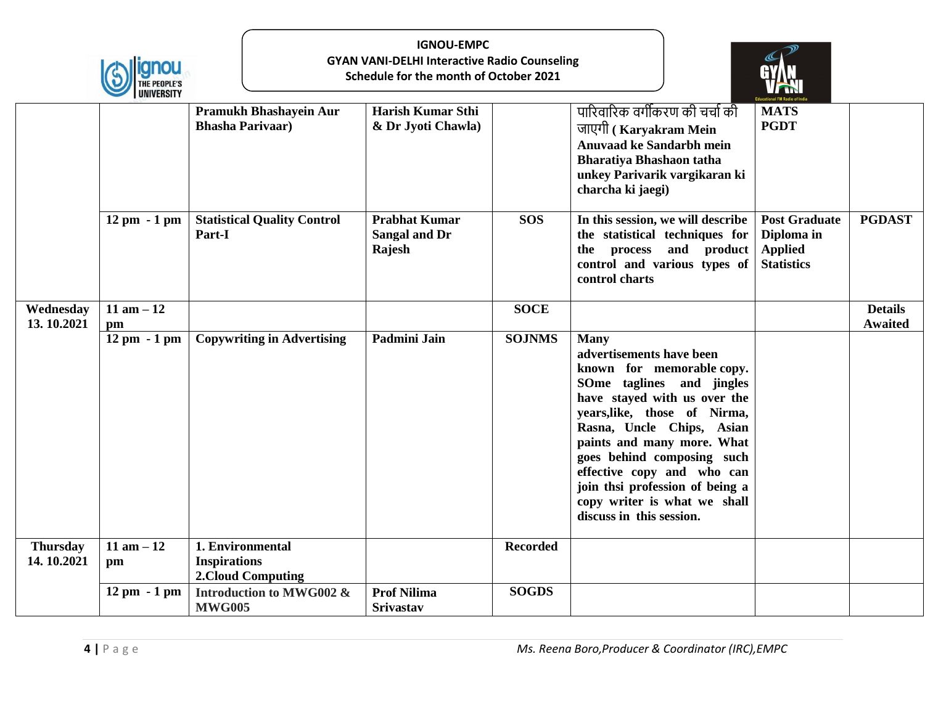



|                               | <b>UNIVERSILT</b>              |                                                   |                                                 |                 |                                                                                                                                                                                                                                                                                                                                                                                         | Educational FM Radio of India                                             |                                  |
|-------------------------------|--------------------------------|---------------------------------------------------|-------------------------------------------------|-----------------|-----------------------------------------------------------------------------------------------------------------------------------------------------------------------------------------------------------------------------------------------------------------------------------------------------------------------------------------------------------------------------------------|---------------------------------------------------------------------------|----------------------------------|
|                               |                                | Pramukh Bhashayein Aur<br><b>Bhasha Parivaar)</b> | <b>Harish Kumar Sthi</b><br>& Dr Jyoti Chawla)  |                 | पारिवारिक वर्गीकरण की चर्चा की<br>जाएगी (Karyakram Mein<br><b>Anuvaad ke Sandarbh mein</b><br><b>Bharatiya Bhashaon tatha</b><br>unkey Parivarik vargikaran ki<br>charcha ki jaegi)                                                                                                                                                                                                     | <b>MATS</b><br><b>PGDT</b>                                                |                                  |
|                               | $12 \text{ pm} - 1 \text{ pm}$ | <b>Statistical Quality Control</b><br>Part-I      | <b>Prabhat Kumar</b><br>Sangal and Dr<br>Rajesh | <b>SOS</b>      | In this session, we will describe<br>the statistical techniques for<br>and product<br>process<br>the<br>control and various types of<br>control charts                                                                                                                                                                                                                                  | <b>Post Graduate</b><br>Diploma in<br><b>Applied</b><br><b>Statistics</b> | <b>PGDAST</b>                    |
| Wednesday<br>13.10.2021       | $11$ am $-12$<br>$pm$          |                                                   |                                                 | <b>SOCE</b>     |                                                                                                                                                                                                                                                                                                                                                                                         |                                                                           | <b>Details</b><br><b>Awaited</b> |
|                               | $12 \text{ pm } -1 \text{ pm}$ | <b>Copywriting in Advertising</b>                 | Padmini Jain                                    | <b>SOJNMS</b>   | <b>Many</b><br>advertisements have been<br>known for memorable copy.<br>SOme taglines and jingles<br>have stayed with us over the<br>years, like, those of Nirma,<br>Rasna, Uncle Chips, Asian<br>paints and many more. What<br>goes behind composing such<br>effective copy and who can<br>join thsi profession of being a<br>copy writer is what we shall<br>discuss in this session. |                                                                           |                                  |
| <b>Thursday</b><br>14.10.2021 | 11 am $-12$                    | 1. Environmental                                  |                                                 | <b>Recorded</b> |                                                                                                                                                                                                                                                                                                                                                                                         |                                                                           |                                  |
|                               | pm                             | <b>Inspirations</b><br><b>2.Cloud Computing</b>   |                                                 |                 |                                                                                                                                                                                                                                                                                                                                                                                         |                                                                           |                                  |
|                               | $12 \text{ pm} - 1 \text{ pm}$ | Introduction to MWG002 &<br><b>MWG005</b>         | <b>Prof Nilima</b><br><b>Srivastav</b>          | <b>SOGDS</b>    |                                                                                                                                                                                                                                                                                                                                                                                         |                                                                           |                                  |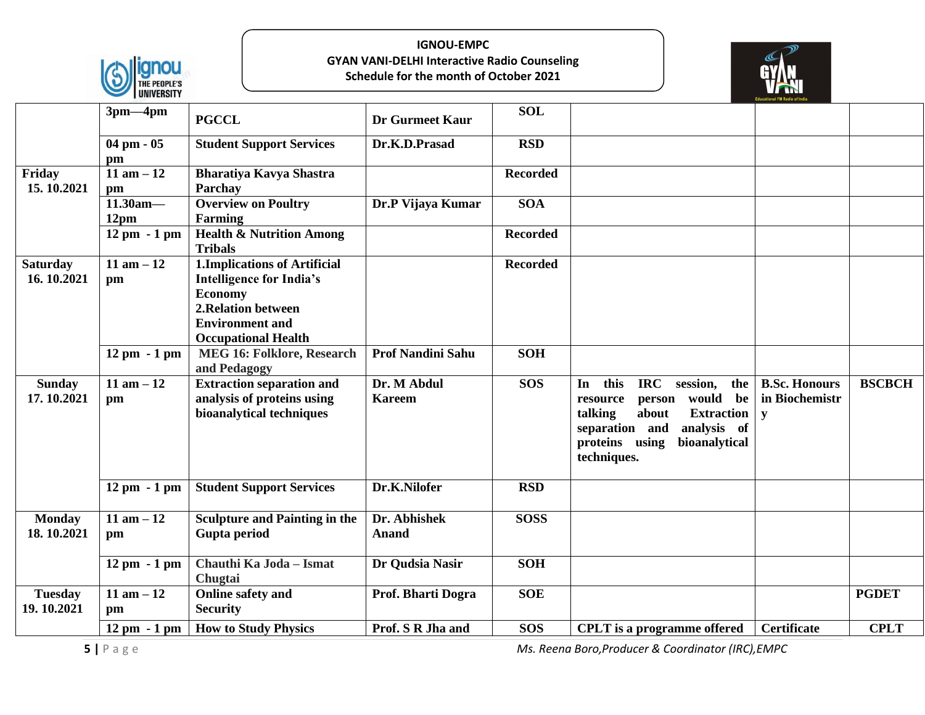



|                               | <b>I UNIVERSILT</b>             |                                                                                                                                                                   |                              |                 |                                                                                                                                                                                                              | <b>Educational FM Radio of India</b>        |               |
|-------------------------------|---------------------------------|-------------------------------------------------------------------------------------------------------------------------------------------------------------------|------------------------------|-----------------|--------------------------------------------------------------------------------------------------------------------------------------------------------------------------------------------------------------|---------------------------------------------|---------------|
|                               | $3pm-4pm$                       | <b>PGCCL</b>                                                                                                                                                      | <b>Dr Gurmeet Kaur</b>       | <b>SOL</b>      |                                                                                                                                                                                                              |                                             |               |
|                               | $04 \text{ pm} - 05$<br>$pm$    | <b>Student Support Services</b>                                                                                                                                   | Dr.K.D.Prasad                | <b>RSD</b>      |                                                                                                                                                                                                              |                                             |               |
| Friday<br>15.10.2021          | 11 am $-\overline{12}$<br>$pm$  | <b>Bharatiya Kavya Shastra</b><br>Parchay                                                                                                                         |                              | <b>Recorded</b> |                                                                                                                                                                                                              |                                             |               |
|                               | $11.30am -$<br>12 <sub>pm</sub> | <b>Overview on Poultry</b><br><b>Farming</b>                                                                                                                      | Dr.P Vijaya Kumar            | <b>SOA</b>      |                                                                                                                                                                                                              |                                             |               |
|                               | $12 \text{ pm} - 1 \text{ pm}$  | <b>Health &amp; Nutrition Among</b><br><b>Tribals</b>                                                                                                             |                              | <b>Recorded</b> |                                                                                                                                                                                                              |                                             |               |
| <b>Saturday</b><br>16.10.2021 | 11 am $-12$<br>pm               | 1. Implications of Artificial<br><b>Intelligence for India's</b><br><b>Economy</b><br>2. Relation between<br><b>Environment</b> and<br><b>Occupational Health</b> |                              | <b>Recorded</b> |                                                                                                                                                                                                              |                                             |               |
|                               | $12 \text{ pm} - 1 \text{ pm}$  | <b>MEG 16: Folklore, Research</b><br>and Pedagogy                                                                                                                 | <b>Prof Nandini Sahu</b>     | <b>SOH</b>      |                                                                                                                                                                                                              |                                             |               |
| <b>Sunday</b><br>17.10.2021   | 11 am $-12$<br>pm               | <b>Extraction separation and</b><br>analysis of proteins using<br>bioanalytical techniques                                                                        | Dr. M Abdul<br><b>Kareem</b> | <b>SOS</b>      | this<br><b>IRC</b><br>session,<br>In<br>the<br>would<br>be<br>resource<br>person<br>about<br>talking<br><b>Extraction</b><br>analysis of<br>separation and<br>proteins using<br>bioanalytical<br>techniques. | <b>B.Sc. Honours</b><br>in Biochemistr<br>y | <b>BSCBCH</b> |
|                               | $12 \text{ pm} - 1 \text{ pm}$  | <b>Student Support Services</b>                                                                                                                                   | Dr.K.Nilofer                 | <b>RSD</b>      |                                                                                                                                                                                                              |                                             |               |
| <b>Monday</b><br>18.10.2021   | 11 am $-12$<br>pm               | <b>Sculpture and Painting in the</b><br>Gupta period                                                                                                              | Dr. Abhishek<br><b>Anand</b> | <b>SOSS</b>     |                                                                                                                                                                                                              |                                             |               |
|                               | $12 \text{ pm} - 1 \text{ pm}$  | Chauthi Ka Joda - Ismat<br>Chugtai                                                                                                                                | Dr Qudsia Nasir              | <b>SOH</b>      |                                                                                                                                                                                                              |                                             |               |
| <b>Tuesday</b><br>19.10.2021  | 11 am $-12$<br>pm               | <b>Online safety and</b><br><b>Security</b>                                                                                                                       | Prof. Bharti Dogra           | <b>SOE</b>      |                                                                                                                                                                                                              |                                             | <b>PGDET</b>  |
|                               | $12 \text{ pm} - 1 \text{ pm}$  | <b>How to Study Physics</b>                                                                                                                                       | Prof. S R Jha and            | <b>SOS</b>      | <b>CPLT</b> is a programme offered                                                                                                                                                                           | Certificate                                 | <b>CPLT</b>   |

**5** |  $P$  a g e **Ms. Reena Boro,Producer & Coordinator (IRC),EMPC**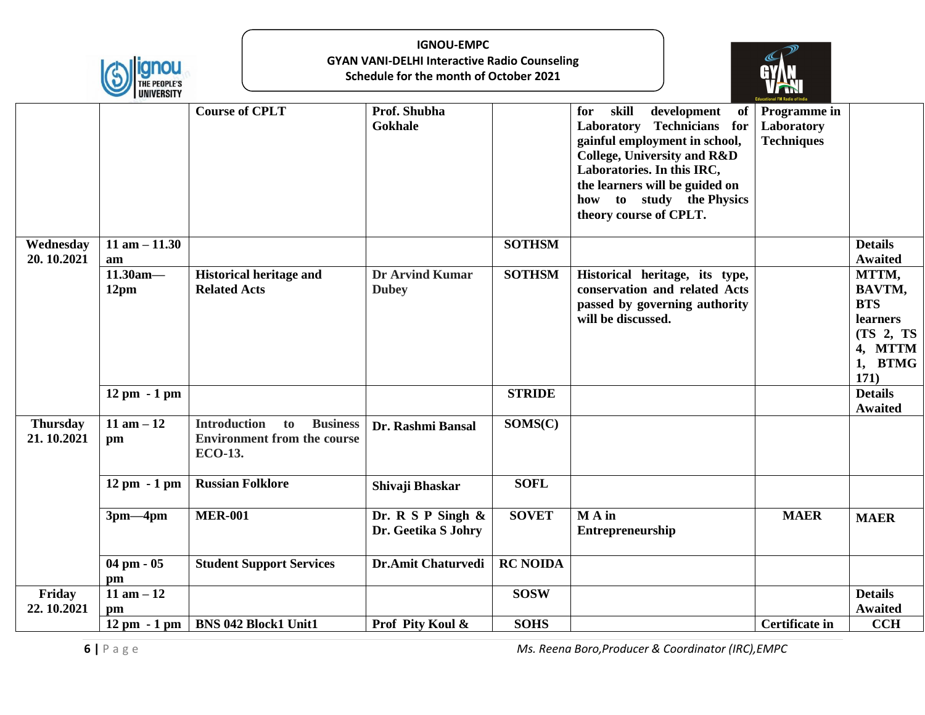



|                               | <b>I UNIVERSITT</b>             |                                                                                                      |                                             |                 |                                                                                                                                                                                                                                                                                         | Educational FM Radio of India                   |                                                                                      |
|-------------------------------|---------------------------------|------------------------------------------------------------------------------------------------------|---------------------------------------------|-----------------|-----------------------------------------------------------------------------------------------------------------------------------------------------------------------------------------------------------------------------------------------------------------------------------------|-------------------------------------------------|--------------------------------------------------------------------------------------|
|                               |                                 | <b>Course of CPLT</b>                                                                                | Prof. Shubha<br>Gokhale                     |                 | skill<br>development<br>for<br>of <sub>1</sub><br><b>Laboratory Technicians</b><br>for<br>gainful employment in school,<br><b>College, University and R&amp;D</b><br>Laboratories. In this IRC,<br>the learners will be guided on<br>how to study the Physics<br>theory course of CPLT. | Programme in<br>Laboratory<br><b>Techniques</b> |                                                                                      |
| Wednesday                     | $11$ am $-11.30$                |                                                                                                      |                                             | <b>SOTHSM</b>   |                                                                                                                                                                                                                                                                                         |                                                 | <b>Details</b>                                                                       |
| 20.10.2021                    | am                              |                                                                                                      |                                             |                 |                                                                                                                                                                                                                                                                                         |                                                 | <b>Awaited</b>                                                                       |
|                               | $11.30am -$<br>12 <sub>pm</sub> | <b>Historical heritage and</b><br><b>Related Acts</b>                                                | <b>Dr Arvind Kumar</b><br><b>Dubey</b>      | <b>SOTHSM</b>   | Historical heritage, its type,<br>conservation and related Acts<br>passed by governing authority<br>will be discussed.                                                                                                                                                                  |                                                 | MTTM,<br>BAVTM,<br><b>BTS</b><br>learners<br>(TS 2, TS<br>4, MTTM<br>1, BTMG<br>171) |
|                               | $12 \text{ pm} - 1 \text{ pm}$  |                                                                                                      |                                             | <b>STRIDE</b>   |                                                                                                                                                                                                                                                                                         |                                                 | <b>Details</b><br><b>Awaited</b>                                                     |
| <b>Thursday</b><br>21.10.2021 | $11$ am $-12$<br>pm             | <b>Introduction</b><br><b>Business</b><br>to<br><b>Environment from the course</b><br><b>ECO-13.</b> | Dr. Rashmi Bansal                           | SOMS(C)         |                                                                                                                                                                                                                                                                                         |                                                 |                                                                                      |
|                               | $12 \text{ pm} - 1 \text{ pm}$  | <b>Russian Folklore</b>                                                                              | Shivaji Bhaskar                             | <b>SOFL</b>     |                                                                                                                                                                                                                                                                                         |                                                 |                                                                                      |
|                               | $3pm-4pm$                       | <b>MER-001</b>                                                                                       | Dr. R S P Singh $\&$<br>Dr. Geetika S Johry | <b>SOVET</b>    | M A in<br><b>Entrepreneurship</b>                                                                                                                                                                                                                                                       | <b>MAER</b>                                     | <b>MAER</b>                                                                          |
|                               | $04 \text{ pm} - 05$<br>pm      | <b>Student Support Services</b>                                                                      | <b>Dr.Amit Chaturvedi</b>                   | <b>RC NOIDA</b> |                                                                                                                                                                                                                                                                                         |                                                 |                                                                                      |
| Friday                        | 11 am $-12$                     |                                                                                                      |                                             | <b>SOSW</b>     |                                                                                                                                                                                                                                                                                         |                                                 | <b>Details</b>                                                                       |
| 22.10.2021                    | pm                              |                                                                                                      |                                             |                 |                                                                                                                                                                                                                                                                                         |                                                 | Awaited                                                                              |
|                               |                                 | 12 pm - 1 pm   BNS 042 Block1 Unit1                                                                  | Prof Pity Koul &                            | <b>SOHS</b>     |                                                                                                                                                                                                                                                                                         | <b>Certificate in</b>                           | <b>CCH</b>                                                                           |

**6** | P a g e *Ms. Reena Boro,Producer & Coordinator (IRC),EMPC*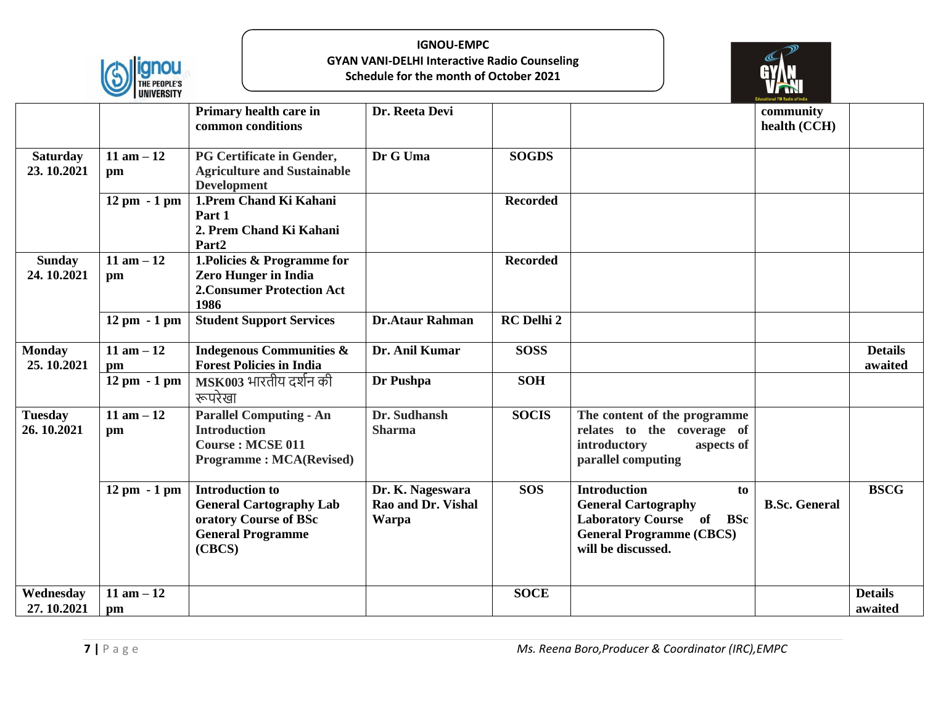



|                               | <b>I UNIVERSITT</b>            |                                                                                                                         |                                                 |                   |                                                                                                                                                     | <b>Educational FM Radio of India</b> |                           |
|-------------------------------|--------------------------------|-------------------------------------------------------------------------------------------------------------------------|-------------------------------------------------|-------------------|-----------------------------------------------------------------------------------------------------------------------------------------------------|--------------------------------------|---------------------------|
|                               |                                | Primary health care in<br>common conditions                                                                             | Dr. Reeta Devi                                  |                   |                                                                                                                                                     | community<br>health (CCH)            |                           |
| <b>Saturday</b><br>23.10.2021 | 11 am $-12$<br>pm              | <b>PG Certificate in Gender,</b><br><b>Agriculture and Sustainable</b><br><b>Development</b>                            | Dr G Uma                                        | <b>SOGDS</b>      |                                                                                                                                                     |                                      |                           |
|                               | $12 \text{ pm} - 1 \text{ pm}$ | 1. Prem Chand Ki Kahani<br>Part 1<br>2. Prem Chand Ki Kahani<br>Part <sub>2</sub>                                       |                                                 | <b>Recorded</b>   |                                                                                                                                                     |                                      |                           |
| <b>Sunday</b><br>24.10.2021   | 11 am $-12$<br>pm              | 1. Policies & Programme for<br><b>Zero Hunger in India</b><br><b>2. Consumer Protection Act</b><br>1986                 |                                                 | <b>Recorded</b>   |                                                                                                                                                     |                                      |                           |
|                               | $12 \text{ pm} - 1 \text{ pm}$ | <b>Student Support Services</b>                                                                                         | <b>Dr.Ataur Rahman</b>                          | <b>RC</b> Delhi 2 |                                                                                                                                                     |                                      |                           |
| <b>Monday</b><br>25.10.2021   | 11 am $-12$<br>pm              | <b>Indegenous Communities &amp;</b><br><b>Forest Policies in India</b>                                                  | Dr. Anil Kumar                                  | <b>SOSS</b>       |                                                                                                                                                     |                                      | <b>Details</b><br>awaited |
|                               | $12 \text{ pm} - 1 \text{ pm}$ | MSK003 भारतीय दर्शन की<br>रूपरेखा                                                                                       | Dr Pushpa                                       | <b>SOH</b>        |                                                                                                                                                     |                                      |                           |
| <b>Tuesday</b><br>26.10.2021  | $11$ am $-12$<br>pm            | <b>Parallel Computing - An</b><br><b>Introduction</b><br><b>Course: MCSE 011</b><br><b>Programme: MCA(Revised)</b>      | Dr. Sudhansh<br><b>Sharma</b>                   | <b>SOCIS</b>      | The content of the programme<br>relates to the coverage of<br>introductory<br>aspects of<br>parallel computing                                      |                                      |                           |
|                               | $12 \text{ pm} - 1 \text{ pm}$ | <b>Introduction to</b><br><b>General Cartography Lab</b><br>oratory Course of BSc<br><b>General Programme</b><br>(CBCS) | Dr. K. Nageswara<br>Rao and Dr. Vishal<br>Warpa | <b>SOS</b>        | <b>Introduction</b><br>to<br><b>General Cartography</b><br><b>Laboratory Course of BSc</b><br><b>General Programme (CBCS)</b><br>will be discussed. | <b>B.Sc. General</b>                 | <b>BSCG</b>               |
| Wednesday<br>27.10.2021       | $11$ am $-12$<br>pm            |                                                                                                                         |                                                 | <b>SOCE</b>       |                                                                                                                                                     |                                      | <b>Details</b><br>awaited |